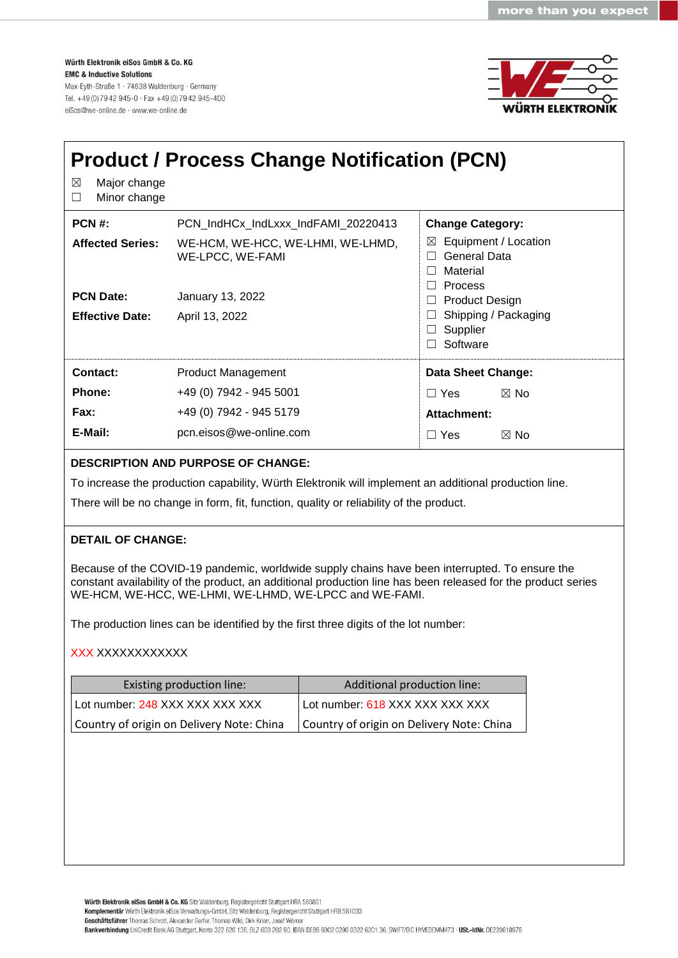Würth Elektronik eiSos GmbH & Co. KG **EMC & Inductive Solutions** Max-Eyth-Straße 1 · 74638 Waldenburg · Germany Tel. +49 (0) 79 42 945-0 · Fax +49 (0) 79 42 945-400 eiSos@we-online.de · www.we-online.de



| ⊠<br>Major change<br>Minor change<br>$\Box$ | <b>Product / Process Change Notification (PCN)</b>    |                                                                                                                              |  |  |
|---------------------------------------------|-------------------------------------------------------|------------------------------------------------------------------------------------------------------------------------------|--|--|
| $PCN#$ :                                    | PCN_IndHCx_IndLxxx_IndFAMI_20220413                   | <b>Change Category:</b>                                                                                                      |  |  |
| <b>Affected Series:</b>                     | WE-HCM, WE-HCC, WE-LHMI, WE-LHMD,<br>WE-LPCC, WE-FAMI | Equipment / Location<br>$\boxtimes$<br>General Data<br>$\perp$<br>Material<br>$\mathsf{L}$<br><b>Process</b><br>$\mathbf{I}$ |  |  |
| <b>PCN Date:</b>                            | January 13, 2022                                      | <b>Product Design</b><br>ப                                                                                                   |  |  |
| <b>Effective Date:</b>                      | April 13, 2022                                        | Shipping / Packaging<br>Supplier<br>Software                                                                                 |  |  |
| Contact:                                    | <b>Product Management</b>                             | <b>Data Sheet Change:</b>                                                                                                    |  |  |
| <b>Phone:</b>                               | +49 (0) 7942 - 945 5001                               | $\Box$ Yes<br>$\boxtimes$ No                                                                                                 |  |  |
| Fax:                                        | +49 (0) 7942 - 945 5179                               | Attachment:                                                                                                                  |  |  |
| E-Mail:                                     | pcn.eisos@we-online.com                               | $\Box$ Yes<br>$\boxtimes$ No                                                                                                 |  |  |

## **DESCRIPTION AND PURPOSE OF CHANGE:**

To increase the production capability, Würth Elektronik will implement an additional production line.

There will be no change in form, fit, function, quality or reliability of the product.

## **DETAIL OF CHANGE:**

Because of the COVID-19 pandemic, worldwide supply chains have been interrupted. To ensure the constant availability of the product, an additional production line has been released for the product series WE-HCM, WE-HCC, WE-LHMI, WE-LHMD, WE-LPCC and WE-FAMI.

The production lines can be identified by the first three digits of the lot number:

## XXX XXXXXXXXXXXX

| Existing production line:                 | Additional production line:               |
|-------------------------------------------|-------------------------------------------|
| Lot number: 248 XXX XXX XXX XXX           | Lot number: 618 XXX XXX XXX XXX           |
| Country of origin on Delivery Note: China | Country of origin on Delivery Note: China |

Würth Elektronik eiSos GmbH & Co. KG Sitz Waldenburg, Registergericht Stuttgart HRA 580801 Komplementär Würth Elektronik eiSos Verwaltungs-GmbH, Sitz Waldenburg, Registergericht Stuttgart HRB 581033 Geschäftsführer Thomas Schrott, Alexander Gerfer, Thomas Wild, Dirk Knorr, Josef Wörner Bankverbindung UniCredit Bank AG Stuttgart, Konto 322 620 136, BLZ 600 202 90, IBAN DE86 6002 0290 0322 6201 36, SWIFT/BIC HYVEDEMM473 - USt-IdNr. DE220618976